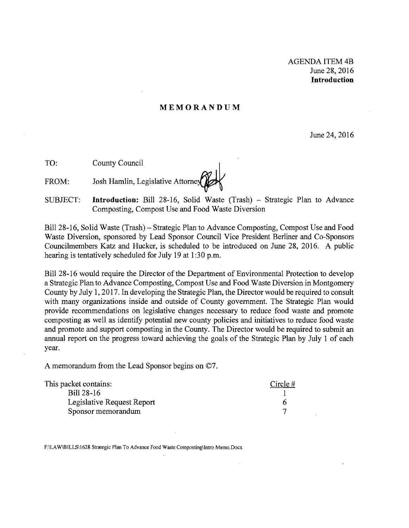## **MEMORANDUM**

June 24, 2016

**TO:** County Council

FROM: Josh Hamlin, Legislative Attorney

SUBJECT: **Introduction:** Bill 28-16, Solid Waste (Trash) - Strategic Plan to Advance Composting, Compost Use and Food Waste Diversion

Bill 28-16, Solid Waste (Trash) – Strategic Plan to Advance Composting, Compost Use and Food Waste Diversion, sponsored by Lead Sponsor Council Vice President Berliner and Co-Sponsors Councilmembers Katz and Hucker, is scheduled to be introduced on June 28, 2016. A public hearing is tentatively scheduled for July 19 at 1:30 p.m.

Bill 28-16 would require the Director of the Department of Environmental Protection to develop a Strategic Plan to Advance Composting, Compost Use and Food Waste Diversion in Montgomery County by July 1, 2017. In developing the Strategic Plan, the Director would be required to consult with many organizations inside and outside of County government. The Strategic Plan would provide recommendations on legislative changes necessary to reduce food waste and promote composting as well as identify potential new county policies and initiatives to reduce food waste and promote and support composting in the County. The Director would be required to submit an annual report on the progress toward achieving the goals of the Strategic Plan by July I of each year.

A memorandum from the Lead Sponsor begins on ©7.

| This packet contains:      | Circle $#$ |
|----------------------------|------------|
| Bill 28-16                 |            |
| Legislative Request Report |            |
| Sponsor memorandum         |            |

F:\LAW\BILLSIl628 Strategic Plan To Advance Food Waste Composting\Intro Memo.Docx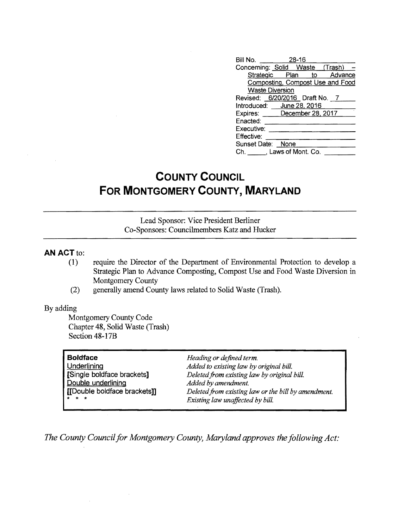| Bill No. 28-16                   |
|----------------------------------|
| Concerning: Solid Waste (Trash)  |
| Strategic Plan to Advance        |
| Composting, Compost Use and Food |
| <b>Waste Diversion</b>           |
| Revised: 6/20/2016 Draft No. 7   |
| Introduced: June 28, 2016        |
| Expires: December 28, 2017       |
| Enacted:                         |
| Executive:                       |
| Effective:                       |
| Sunset Date: None                |
| Ch. Laws of Mont. Co.            |

# **COUNTY COUNCIL FOR MONTGOMERY COUNTY, MARYLAND**

Lead Sponsor: Vice President Berliner Co-Sponsors: Councilmembers Katz and Hucker

## **AN ACT** to:

- (1) require the Director of the Department of Environmental Protection to develop a Strategic Plan to Advance Composting, Compost Use and Food Waste Diversion in Montgomery County
- (2) generally amend County laws related to Solid Waste (Trash).

## By adding

Montgomery County Code Chapter 48, Solid Waste (Trash) Section 48-17B

| <b>Boldface</b>              | Heading or defined term.                            |
|------------------------------|-----------------------------------------------------|
| Underlining                  | Added to existing law by original bill.             |
| [Single boldface brackets]   | Deleted from existing law by original bill.         |
| Double underlining           | Added by amendment.                                 |
| [[Double boldface brackets]] | Deleted from existing law or the bill by amendment. |
| $\star$ $\star$ $\star$      | Existing law unaffected by bill.                    |

*The County Council for Montgomery County, Maryland approves the following Act:*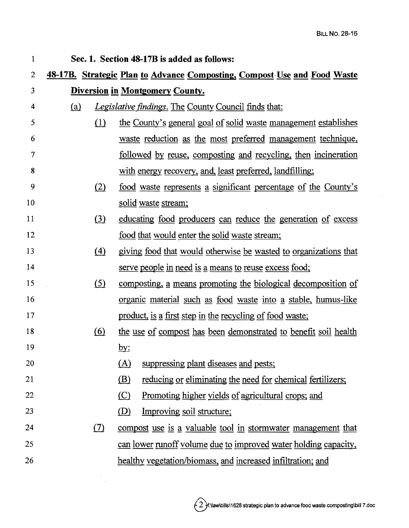$\sim$ 

| 1               |            | Sec. 1. Section 48-17B is added as follows:                              |
|-----------------|------------|--------------------------------------------------------------------------|
| $\overline{2}$  |            | 48-17B. Strategic Plan to Advance Composting, Compost Use and Food Waste |
| 3               |            | <b>Diversion in Montgomery County.</b>                                   |
| 4               | <u>(a)</u> | <b>Legislative findings. The County Council finds that:</b>              |
| 5               | (1)        | the County's general goal of solid waste management establishes          |
| 6               |            | waste reduction as the most preferred management technique,              |
| 7               |            | <u>followed</u> by reuse, composting and recycling, then incineration    |
| 8               |            | with energy recovery, and, least preferred, landfilling;                 |
| 9               | (2)        | <u>food waste represents a significant percentage of the County's</u>    |
| 10              |            | solid waste stream;                                                      |
| 11              | $\Omega$   | educating food producers can reduce the generation of excess             |
| 12              |            | food that would enter the solid waste stream;                            |
| 13              | (4)        | giving food that would otherwise be wasted to organizations that         |
| 14              |            | serve people in need is a means to reuse excess food;                    |
| 15              | (5)        | <u>composting, a means promoting the biological decomposition of</u>     |
| 16              |            | <u>organic material such as food waste into a stable, humus-like</u>     |
| 17              |            | <u>product, is a first step in the recycling of food waste;</u>          |
| 18              | (6)        | the use of compost has been demonstrated to benefit soil health          |
| 19              |            | <u>by:</u>                                                               |
| 20              |            | $(\underline{A})$<br>suppressing plant diseases and pests;               |
| 21              |            | <u>(B)</u><br>reducing or eliminating the need for chemical fertilizers; |
| 22              |            | $\circ$<br><u>Promoting higher yields of agricultural crops; and</u>     |
| 23              |            | (D)<br>Improving soil structure;                                         |
| $\overline{24}$ | (7)        | compost use is a valuable tool in stormwater management that             |
| 25              |            | can lower runoff volume due to improved water holding capacity,          |
| 26              |            | healthy vegetation/biomass, and increased infiltration; and              |
|                 |            |                                                                          |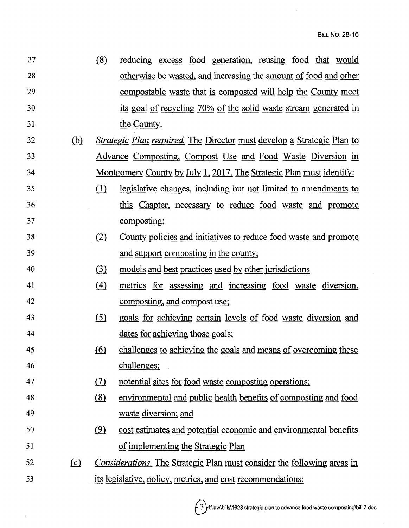$\ddot{\phantom{a}}$ 

| 27 |            | (8)        | reducing excess food generation, reusing food that would                      |
|----|------------|------------|-------------------------------------------------------------------------------|
| 28 |            |            | otherwise be wasted, and increasing the amount of food and other              |
| 29 |            |            | compostable waste that is composted will help the County meet                 |
| 30 |            |            | its goal of recycling 70% of the solid waste stream generated in              |
| 31 |            |            | the County.                                                                   |
| 32 | <u>(b)</u> |            | <i>Strategic Plan required.</i> The Director must develop a Strategic Plan to |
| 33 |            |            | <u>Advance Composting, Compost Use and Food Waste Diversion in</u>            |
| 34 |            |            | <u>Montgomery County by July 1, 2017. The Strategic Plan must identify:</u>   |
| 35 |            | (1)        | <u>legislative</u> changes, including but not limited to amendments to        |
| 36 |            |            | this Chapter, necessary to reduce food waste and promote                      |
| 37 |            |            | composting;                                                                   |
| 38 |            | (2)        | County policies and initiatives to reduce food waste and promote              |
| 39 |            |            | and support composting in the county;                                         |
| 40 |            | (3)        | models and best practices used by other jurisdictions                         |
| 41 |            | (4)        | metrics for assessing and increasing food waste diversion,                    |
| 42 |            |            | composting, and compost use;                                                  |
| 43 |            | (5)        | goals for achieving certain levels of food waste diversion and                |
| 44 |            |            | dates for achieving those goals;                                              |
| 45 |            | <u>(6)</u> | challenges to achieving the goals and means of overcoming these               |
| 46 |            |            | challenges;                                                                   |
| 47 |            | (7)        | potential sites for food waste composting operations;                         |
| 48 |            | (8)        | environmental and public health benefits of composting and food               |
| 49 |            |            | waste diversion; and                                                          |
| 50 |            | (9)        | cost estimates and potential economic and environmental benefits              |
| 51 |            |            | of implementing the Strategic Plan                                            |
| 52 | $\Omega$   |            | Considerations. The Strategic Plan must consider the following areas in       |
| 53 |            |            | its legislative, policy, metrics, and cost recommendations:                   |

 $\hat{\boldsymbol{\beta}}$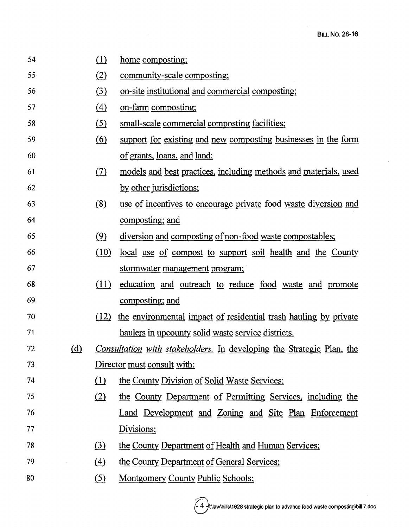| 54 |              | (1)              | home composting;                                                             |
|----|--------------|------------------|------------------------------------------------------------------------------|
| 55 |              | (2)              | community-scale composting;                                                  |
| 56 |              | $\left(3\right)$ | on-site institutional and commercial composting;                             |
| 57 |              | $\left(4\right)$ | on-farm composting;                                                          |
| 58 |              | (5)              | small-scale commercial composting facilities;                                |
| 59 |              | <u>(6)</u>       | support for existing and new composting businesses in the form               |
| 60 |              |                  | of grants, loans, and land;                                                  |
| 61 |              | (7)              | models and best practices, including methods and materials, used             |
| 62 |              |                  | by other jurisdictions;                                                      |
| 63 |              | (8)              | use of incentives to encourage private food waste diversion and              |
| 64 |              |                  | composting; and                                                              |
| 65 |              | (9)              | diversion and composting of non-food waste compostables;                     |
| 66 |              | (10)             | <u>local use of compost to support soil health and the County</u>            |
| 67 |              |                  | stormwater management program;                                               |
| 68 |              | (11)             | education and outreach to reduce food waste and promote                      |
| 69 |              |                  | composting; and                                                              |
| 70 |              | (12)             | the environmental impact of residential trash hauling by private             |
| 71 |              |                  | haulers in upcounty solid waste service districts.                           |
| 72 | ( <u>d</u> ) |                  | <i>Consultation with stakeholders.</i> In developing the Strategic Plan, the |
| 73 |              |                  | Director must consult with:                                                  |
| 74 |              | (1)              | the County Division of Solid Waste Services;                                 |
| 75 |              | (2)              | the County Department of Permitting Services, including the                  |
| 76 |              |                  | Land Development and Zoning and Site Plan Enforcement                        |
| 77 |              |                  | Divisions;                                                                   |
| 78 |              | (3)              | the County Department of Health and Human Services;                          |
| 79 |              | (4)              | the County Department of General Services;                                   |
| 80 |              | $\circ$          | <b>Montgomery County Public Schools;</b>                                     |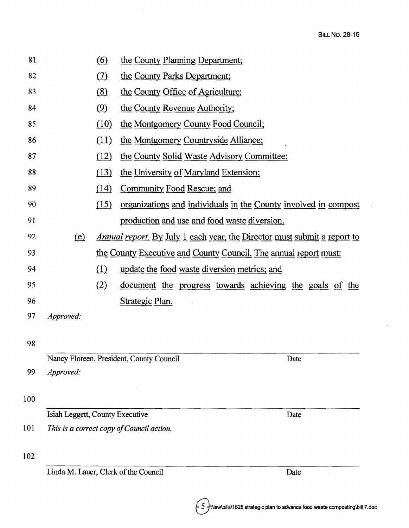$\ddot{\phantom{a}}$ 

|                                 | (6)                                                                             | the County Planning Department;                                 |  |
|---------------------------------|---------------------------------------------------------------------------------|-----------------------------------------------------------------|--|
|                                 |                                                                                 |                                                                 |  |
|                                 | (7)                                                                             | the County Parks Department;                                    |  |
|                                 | (8)                                                                             | the County Office of Agriculture;                               |  |
|                                 | (9)                                                                             | the County Revenue Authority;                                   |  |
|                                 | (10)                                                                            | the Montgomery County Food Council;                             |  |
|                                 | (11)                                                                            | the Montgomery Countryside Alliance;                            |  |
|                                 | (12)                                                                            | the County Solid Waste Advisory Committee;                      |  |
|                                 | (13)                                                                            | the University of Maryland Extension;                           |  |
|                                 | (14)                                                                            | Community Food Rescue; and                                      |  |
|                                 | (15)                                                                            | organizations and individuals in the County involved in compost |  |
|                                 |                                                                                 | production and use and food waste diversion.                    |  |
| (e)                             | <u>Annual report. By July 1 each year, the Director must submit a report to</u> |                                                                 |  |
|                                 | the County Executive and County Council. The annual report must:                |                                                                 |  |
|                                 | (1)                                                                             | update the food waste diversion metrics; and                    |  |
|                                 | (2)                                                                             | <u>document</u> the progress towards achieving the goals of the |  |
|                                 |                                                                                 | Strategic Plan.                                                 |  |
| Approved:                       |                                                                                 |                                                                 |  |
|                                 |                                                                                 |                                                                 |  |
|                                 |                                                                                 |                                                                 |  |
|                                 |                                                                                 | Nancy Floreen, President, County Council<br>Date                |  |
| Approved:                       |                                                                                 |                                                                 |  |
|                                 |                                                                                 |                                                                 |  |
|                                 |                                                                                 |                                                                 |  |
| Isiah Leggett, County Executive |                                                                                 | Date                                                            |  |
|                                 |                                                                                 | This is a correct copy of Council action.                       |  |
|                                 |                                                                                 |                                                                 |  |
|                                 |                                                                                 | Linda M. Lauer, Clerk of the Council<br>Date                    |  |
|                                 |                                                                                 |                                                                 |  |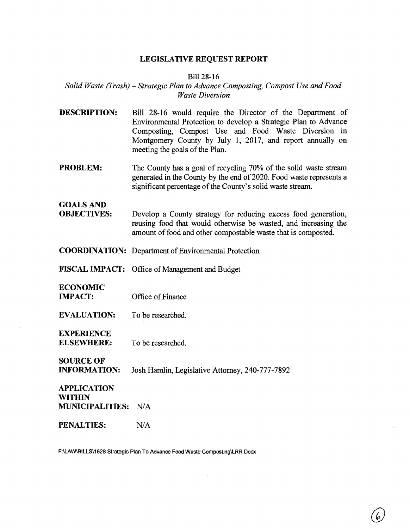## **LEGISLATIVE REQUEST REPORT**

## Bil128-16

## *Solid Waste (J'rash)*  - *Strategic Plan to Advance Composting, Compost Use and Food Waste Diversion*

- **DESCRIPTION:**  Bill 28-16 would require the Director of the Department of Environmental Protection to develop a Strategic Plan to Advance Composting, Compost Use and Food Waste Diversion in Montgomery County by July 1, 2017, and report annually on meeting the goals of the Plan.
- **PROBLEM:**  The County has a goal of recycling 70% of the solid waste stream generated in the County by the end of 2020. Food waste represents a significant percentage of the County's solid waste stream.

## GOALS AND

- **OBJECTIVES:**  Develop a County strategy for reducing excess food generation, reusing food that would otherwise be wasted, and increasing the amount of food and other compostable waste that is composted.
- **COORDINATION:**  Department of Environmental Protection
- FISCAL IMPACT: Office of Management and Budget

## **ECONOMIC**

- **IMPACT:**  Office of Finance
- **EVALUATION:**  To be researched.

## **EXPERIENCE**

**ELSEWHERE:**  To be researched.

## SOURCE OF

**INFORMATION:**  Josh Hamlin, Legislative Attorney, 240-777-7892

## **APPLICATION WITHIN MUNICIPALITIES:** N/A

#### **PENALTIES:**   $N/A$

F:\LAW\BILLS\1628 Strategic Plan To Advance Food Waste Composting\LRR.Docx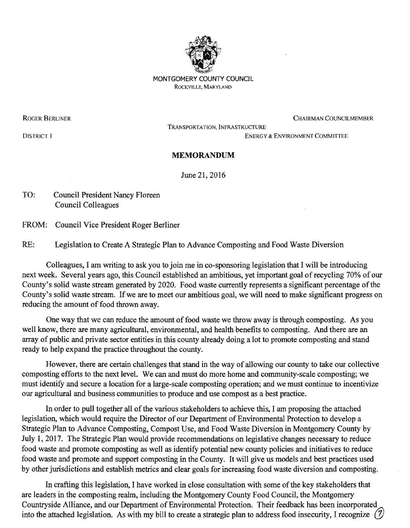

MONTGOMERY COUNTY COUNCIL ROCKVILLE, MARYLAND

ROGER BERLINER CUNCILMEMBER CHAIRMAN COUNCILMEMBER

TRANSPORTATION, INFRASTRUCTURE

DISTRICT I ENERGY & ENVIRONMENT COMMITTEE

## **MEMORANDUM**

June 21, 2016

TO: Council President Nancy Floreen Council Colleagues

FROM: Council Vice President Roger Berliner

RE: Legislation to Create A Strategic Plan to Advance Composting and Food Waste Diversion

Colleagues, I am writing to ask you to join me in co-sponsoring legislation that I will be introducing next week. Several years ago, this Council established an ambitious, yet important goal of recycling 70% of our County's solid waste stream generated by 2020. Food waste currently represents a significant percentage of the County's solid waste stream. If we are to meet our ambitious goal, we will need to make significant progress on reducing the amount of food thrown away.

One way' that we can reduce the amount of food waste we throwaway is through composting. As you well know, there are many agricultural, environmental, and health benefits to composting. And there are an array of public and private sector entities in this county already doing a lot to promote composting and stand ready to help expand the practice throughout the county.

However, there are certain challenges that stand in the way of allowing our county to take our collective composting efforts to the next level. We can and must do more home and community-scale composting; we must identify and secure a location for a large-scale composting operation; and we must continue to incentivize our agricultural and business communities to produce and use compost as a best practice.

In order to pull together all of the various stakeholders to achieve this, I am proposing the attached legislation, which would require the Director of our Department of Environmental Protection to develop a Strategic Plan to Advance Composting, Compost Use, and Food Waste Diversion in Montgomery County by July 1,2017. The Strategic Plan would provide recommendations on legislative changes necessary to reduce food waste and promote composting as well as identify potential new county policies and initiatives to reduce food waste and promote and support composting in the County. It will give us models and best practices used by other jurisdictions and establish metrics and clear goals for increasing food waste diversion and composting.

In crafting this legislation, I have worked in close consultation with some of the key stakeholders that are leaders in the composting realm, including the Montgomery County Food Council, the Montgomery Countryside Alliance, and our Department of Environmental Protection. Their feedback has been incorporated into the attached legislation. As with my bill to create a strategic plan to address food insecurity, I recognize (7)